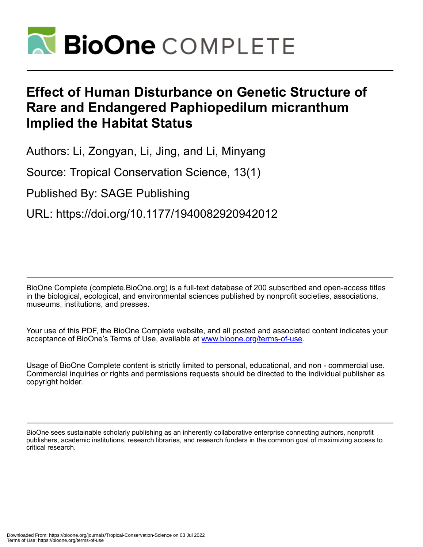

# **Effect of Human Disturbance on Genetic Structure of Rare and Endangered Paphiopedilum micranthum Implied the Habitat Status**

Authors: Li, Zongyan, Li, Jing, and Li, Minyang

Source: Tropical Conservation Science, 13(1)

Published By: SAGE Publishing

URL: https://doi.org/10.1177/1940082920942012

BioOne Complete (complete.BioOne.org) is a full-text database of 200 subscribed and open-access titles in the biological, ecological, and environmental sciences published by nonprofit societies, associations, museums, institutions, and presses.

Your use of this PDF, the BioOne Complete website, and all posted and associated content indicates your acceptance of BioOne's Terms of Use, available at www.bioone.org/terms-of-use.

Usage of BioOne Complete content is strictly limited to personal, educational, and non - commercial use. Commercial inquiries or rights and permissions requests should be directed to the individual publisher as copyright holder.

BioOne sees sustainable scholarly publishing as an inherently collaborative enterprise connecting authors, nonprofit publishers, academic institutions, research libraries, and research funders in the common goal of maximizing access to critical research.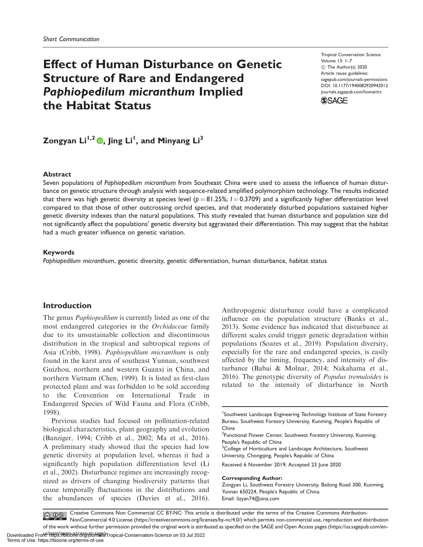# Effect of Human Disturbance on Genetic Structure of Rare and Endangered Paphiopedilum micranthum Implied the Habitat Status

Tropical Conservation Science Volume 13: 1–7 C The Author(s) 2020 Article reuse guidelines: [sagepub.com/journals-permissions](http://us.sagepub.com/en-us/journals-permissions) [DOI: 10.1177/1940082920942012](http://dx.doi.org/10.1177/1940082920942012) <journals.sagepub.com/home/trc>



Zongyan Li<sup>1,2</sup> ®, Jing Li<sup>1</sup>, and Minyang Li<sup>3</sup>

#### Abstract

Seven populations of Paphiopedilum micranthum from Southeast China were used to assess the influence of human disturbance on genetic structure through analysis with sequence-related amplified polymorphism technology. The results indicated that there was high genetic diversity at species level ( $p = 81.25$ %;  $l = 0.3709$ ) and a significantly higher differentiation level compared to that those of other outcrossing orchid species, and that moderately disturbed populations sustained higher genetic diversity indexes than the natural populations. This study revealed that human disturbance and population size did not significantly affect the populations' genetic diversity but aggravated their differentiation. This may suggest that the habitat had a much greater influence on genetic variation.

### Keywords

Paphiopedilum micranthum, genetic diversity, genetic differentiation, human disturbance, habitat status

## Introduction

The genus Paphiopedilum is currently listed as one of the most endangered categories in the Orchidaceae family due to its unsustainable collection and discontinuous distribution in the tropical and subtropical regions of Asia (Cribb, 1998). Paphiopedilum micranthum is only found in the karst area of southeast Yunnan, southwest Guizhou, northern and western Guanxi in China, and northern Vietnam (Chen, 1999). It is listed as first-class protected plant and was forbidden to be sold according to the Convention on International Trade in Endangered Species of Wild Fauna and Flora (Cribb, 1998).

Previous studies had focused on pollination-related biological characteristics, plant geography and evolution (Banziger, 1994; Cribb et al., 2002; Ma et al., 2016). A preliminary study showed that the species had low genetic diversity at population level, whereas it had a significantly high population differentiation level (Li et al., 2002). Disturbance regimes are increasingly recognized as drivers of changing biodiversity patterns that cause temporally fluctuations in the distributions and the abundances of species (Davies et al., 2016).

Anthropogenic disturbance could have a complicated influence on the population structure (Banks et al., 2013). Some evidence has indicated that disturbance at different scales could trigger genetic degradation within populations (Soares et al., 2019). Population diversity, especially for the rare and endangered species, is easily affected by the timing, frequency, and intensity of disturbance (Babai & Molnar, 2014; Nakahama et al., 2016). The genotypic diversity of Populus tremuloides is related to the intensity of disturbance in North

<sup>3</sup>College of Horticulture and Landscape Architecture, Southwest University, Chongqing, People's Republic of China

Received 6 November 2019; Accepted 23 June 2020

#### Corresponding Author:

Zongyan Li, Southwest Forestry University, Bailong Road 300, Kunming, Yunnan 650224, People's Republic of China. Email: [lizyan74@sina.com](mailto:lizyan74@sina.com)

Creative Commons Non Commercial CC BY-NC: This article is distributed under the terms of the Creative Commons Attribution- $\bigcirc$   $\bigcirc$   $\bigcirc$ NonCommercial 4.0 License (https://creativecommons.org/licenses/by-nc/4.0/) which permits non-commercial use, reproduction and distribution of the work without further permission provided the original work is attributed as specified on the SAGE and Open Access pages (https://us.sagepub.com/en-

<sup>1</sup> Southwest Landscape Engineering Technology Institute of State Forestry Bureau, Southwest Forestry University, Kunming, People's Republic of China

<sup>&</sup>lt;sup>2</sup> Functional Flower Center, Southwest Forestry University, Kunming, People's Republic of China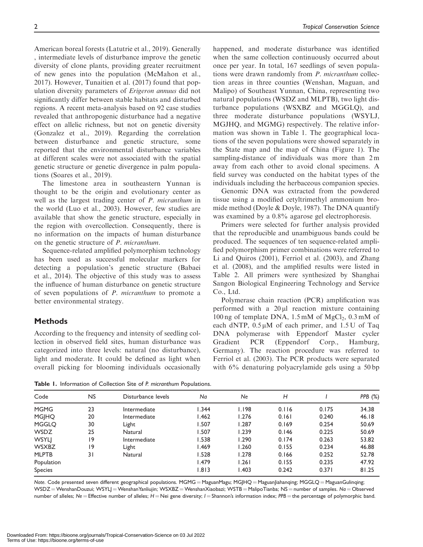American boreal forests (Latutrie et al., 2019). Generally , intermediate levels of disturbance improve the genetic diversity of clone plants, providing greater recruitment of new genes into the population (McMahon et al., 2017). However, Tunaitien et al. (2017) found that population diversity parameters of Erigeron annuus did not significantly differ between stable habitats and disturbed regions. A recent meta-analysis based on 92 case studies revealed that anthropogenic disturbance had a negative effect on allelic richness, but not on genetic diversity (Gonzalez et al., 2019). Regarding the correlation between disturbance and genetic structure, some reported that the environmental disturbance variables at different scales were not associated with the spatial genetic structure or genetic divergence in palm populations (Soares et al., 2019).

The limestone area in southeastern Yunnan is thought to be the origin and evolutionary center as well as the largest trading center of P. micranthum in the world (Luo et al., 2003). However, few studies are available that show the genetic structure, especially in the region with overcollection. Consequently, there is no information on the impacts of human disturbance on the genetic structure of P. micranthum.

Sequence-related amplified polymorphism technology has been used as successful molecular markers for detecting a population's genetic structure (Babaei et al., 2014). The objective of this study was to assess the influence of human disturbance on genetic structure of seven populations of P. micranthum to promote a better environmental strategy.

## Methods

According to the frequency and intensity of seedling collection in observed field sites, human disturbance was categorized into three levels: natural (no disturbance), light and moderate. It could be defined as light when overall picking for blooming individuals occasionally happened, and moderate disturbance was identified when the same collection continuously occurred about once per year. In total, 167 seedlings of seven populations were drawn randomly from P. micranthum collection areas in three counties (Wenshan, Maguan, and Malipo) of Southeast Yunnan, China, representing two natural populations (WSDZ and MLPTB), two light disturbance populations (WSXBZ and MGGLQ), and three moderate disturbance populations (WSYLJ, MGJHQ, and MGMG) respectively. The relative information was shown in Table 1. The geographical locations of the seven populations were showed separately in the State map and the map of China (Figure 1). The sampling-distance of individuals was more than 2 m away from each other to avoid clonal specimens. A field survey was conducted on the habitat types of the individuals including the herbaceous companion species.

Genomic DNA was extracted from the powdered tissue using a modified cetyltrimethyl ammonium bromide method (Doyle & Doyle, 1987). The DNA quantify was examined by a 0.8% agarose gel electrophoresis.

Primers were selected for further analysis provided that the reproducible and unambiguous bands could be produced. The sequences of ten sequence-related amplified polymorphism primer combinations were referred to Li and Quiros (2001), Ferriol et al. (2003), and Zhang et al. (2008), and the amplified results were listed in Table 2. All primers were synthesized by Shanghai Sangon Biological Engineering Technology and Service Co., Ltd.

Polymerase chain reaction (PCR) amplification was performed with a  $20 \mu l$  reaction mixture containing 100 ng of template DNA,  $1.5 \text{ mM of MgCl}_2$ ,  $0.3 \text{ mM of}$ each dNTP,  $0.5 \mu M$  of each primer, and  $1.5 U$  of Taq DNA polymerase with Eppendorf Master cycler Gradient PCR (Eppendorf Corp., Hamburg, Germany). The reaction procedure was referred to Ferriol et al. (2003). The PCR products were separated with 6% denaturing polyacrylamide gels using a 50 bp

Table 1. Information of Collection Site of P. micranthum Populations.

| Code           | <b>NS</b> | Disturbance levels | Na          | <b>Ne</b> | Н     |       | PPB $(%)$ |
|----------------|-----------|--------------------|-------------|-----------|-------|-------|-----------|
| <b>MGMG</b>    | 23        | Intermediate       | 1.344       | 1.198     | 0.116 | 0.175 | 34.38     |
| <b>MGJHQ</b>   | 20        | Intermediate       | .462        | 1.276     | 0.161 | 0.240 | 46.18     |
| <b>MGGLO</b>   | 30        | Light              | 1.507       | 1.287     | 0.169 | 0.254 | 50.69     |
| <b>WSDZ</b>    | 25        | Natural            | 1.507       | 1.239     | 0.146 | 0.225 | 50.69     |
| <b>WSYLJ</b>   | 19        | Intermediate       | 1.538       | 1.290     | 0.174 | 0.263 | 53.82     |
| <b>WSXBZ</b>   | 19        | Light              | <b>.469</b> | 1.260     | 0.155 | 0.234 | 46.88     |
| <b>MLPTB</b>   | 31        | Natural            | 1.528       | 1.278     | 0.166 | 0.252 | 52.78     |
| Population     |           |                    | l.479       | 1.261     | 0.155 | 0.235 | 47.92     |
| <b>Species</b> |           |                    | 1.813       | 1.403     | 0.242 | 0.371 | 81.25     |

Note. Code presented seven different geographical populations. MGMG = MaguanMagu; MGJHQ = MaguanJiahanqing; MGGLQ = MaguanGulinqing; WSDZ = WenshanDouzui; WSYLJ = WenshanYanliujin; WSXBZ = WenshanXiaobazi; WSTB = MalipoTianba; NS = number of samples. Na = Observed number of alleles; Ne = Effective number of alleles;  $H =$  Nei gene diversity;  $I =$  Shannon's information index;  $PPB =$  the percentage of polymorphic band.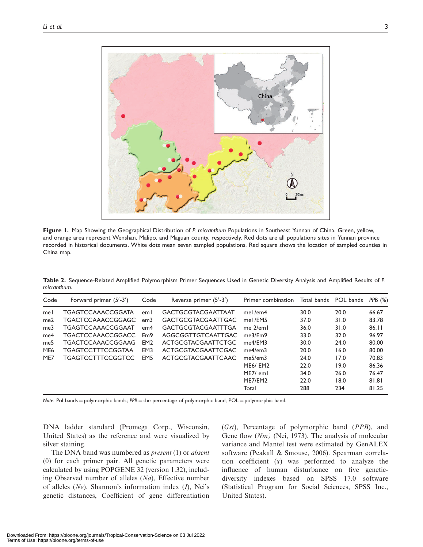

Figure 1. Map Showing the Geographical Distribution of P. micranthum Populations in Southeast Yunnan of China. Green, yellow, and orange area represent Wenshan, Malipo, and Maguan county, respectively. Red dots are all populations sites in Yunnan province recorded in historical documents. White dots mean seven sampled populations. Red square shows the location of sampled counties in China map.

Table 2. Sequence-Related Amplified Polymorphism Primer Sequences Used in Genetic Diversity Analysis and Amplified Results of P. micranthum.

| Code                                                                  | Forward primer $(5' - 3')$                                                                                                                                           | Code                                                                              | Reverse primer $(5' - 3')$                                                                                                                                                                       | Primer combination                                                                                                         | Total bands                                                          | POL bands                                                            | PPB $(\%)$                                                                    |
|-----------------------------------------------------------------------|----------------------------------------------------------------------------------------------------------------------------------------------------------------------|-----------------------------------------------------------------------------------|--------------------------------------------------------------------------------------------------------------------------------------------------------------------------------------------------|----------------------------------------------------------------------------------------------------------------------------|----------------------------------------------------------------------|----------------------------------------------------------------------|-------------------------------------------------------------------------------|
| mel<br>me2<br>me <sub>3</sub><br>me4<br>me5<br>ME <sub>6</sub><br>ME7 | TGAGTCCAAACCGGATA<br>TGACTCCAAACCGGAGC<br>TGAGTCCAAACCGGAAT<br><b>TGACTCCAAACCGGACC</b><br>TGACTCCAAACCGGAAG<br><b>TGAGTCCTTTCCGGTAA</b><br><b>TGAGTCCTTTCCGGTCC</b> | eml<br>em <sub>3</sub><br>em4<br>Em9<br>EM <sub>2</sub><br>EM3<br>EM <sub>5</sub> | <b>GACTGCGTACGAATTAAT</b><br><b>GACTGCGTACGAATTGAC</b><br><b>GACTGCGTACGAATTTGA</b><br>AGGCGGTTGTCAATTGAC<br><b>ACTGCGTACGAATTCTGC</b><br><b>ACTGCGTACGAATTCGAC</b><br><b>ACTGCGTACGAATTCAAC</b> | $me$ I/em4<br>mel/EM5<br>me $2$ /em $\vert$<br>me3/Fm9<br>$me4$ /FM3<br>me4/em3<br>me5/em3<br><b>ME6/ EM2</b><br>ME7/ em l | 30.0<br>37.0<br>36.0<br>33.0<br>30.0<br>20.0<br>24.0<br>22.0<br>34.0 | 20.0<br>31.0<br>31.0<br>32.0<br>24.0<br>16.0<br>17.0<br>19.0<br>26.0 | 66.67<br>83.78<br>86.11<br>96.97<br>80.00<br>80.00<br>70.83<br>86.36<br>76.47 |
|                                                                       |                                                                                                                                                                      |                                                                                   |                                                                                                                                                                                                  | ME7/EM2<br>Total                                                                                                           | 22.0<br>288                                                          | 18.0<br>234                                                          | 81.81<br>81.25                                                                |

Note. Pol bands = polymorphic bands;  $PPB$  = the percentage of polymorphic band; POL = polymorphic band.

DNA ladder standard (Promega Corp., Wisconsin, United States) as the reference and were visualized by silver staining.

The DNA band was numbered as *present* (1) or *absent* (0) for each primer pair. All genetic parameters were calculated by using POPGENE 32 (version 1.32), including Observed number of alleles  $(Na)$ , Effective number of alleles  $(Ne)$ , Shannon's information index  $(I)$ , Nei's genetic distances, Coefficient of gene differentiation (Gst), Percentage of polymorphic band (PPB), and Gene flow (Nm) (Nei, 1973). The analysis of molecular variance and Mantel test were estimated by GenALEX software (Peakall & Smouse, 2006). Spearman correlation coefficient  $(x)$  was performed to analyze the influence of human disturbance on five geneticdiversity indexes based on SPSS 17.0 software (Statistical Program for Social Sciences, SPSS Inc., United States).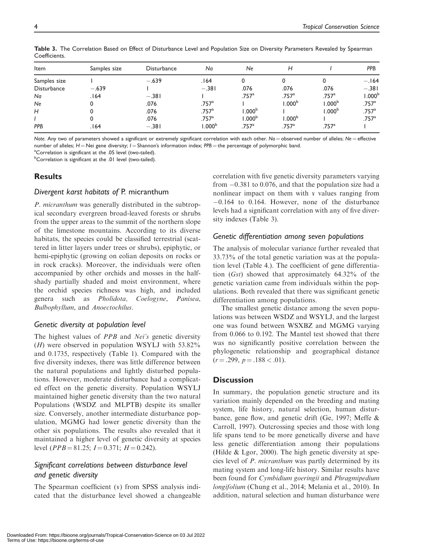| Item               | Samples size | <b>Disturbance</b> | Na                  | Ne                  | Н                 |                      | <b>PPB</b>          |
|--------------------|--------------|--------------------|---------------------|---------------------|-------------------|----------------------|---------------------|
| Samples size       |              | $-.639$            | 164.                |                     | 0                 |                      | $-.164$             |
| <b>Disturbance</b> | $-.639$      |                    | $-.381$             | .076                | .076              | .076                 | $-.381$             |
| Na                 | .164         | $-.381$            |                     | .757 <sup>a</sup>   | .757 <sup>a</sup> | .757 <sup>a</sup>    | 1.000 <sup>t</sup>  |
| Ne                 | 0            | .076               | $.757$ <sup>a</sup> |                     | .000 <sup>b</sup> | $1.000^{\mathrm{b}}$ | $.757$ <sup>a</sup> |
| H                  | 0            | .076               | $.757$ <sup>a</sup> | 1.000 <sup>b</sup>  |                   | 1.000 <sup>b</sup>   | .757 <sup>a</sup>   |
|                    | 0            | .076               | .757 <sup>a</sup>   | 1.000 <sup>b</sup>  | .000 <sup>b</sup> |                      | .757 <sup>a</sup>   |
| PPB                | .164         | $-.381$            | 1.000 <sup>b</sup>  | $.757$ <sup>a</sup> | $.757^{\circ}$    | $.757$ <sup>a</sup>  |                     |

Table 3. The Correlation Based on Effect of Disturbance Level and Population Size on Diversity Parameters Revealed by Spearman Coefficients.

Note. Any two of parameters showed a significant or extremely significant correlation with each other. Na = observed number of alleles; Ne = effective number of alleles;  $H =$  Nei gene diversity;  $I =$  Shannon's information index;  $PPB =$  the percentage of polymorphic band.

<sup>a</sup>Correlation is significant at the .05 level (two-tailed).

<sup>b</sup>Correlation is significant at the .01 level (two-tailed).

# Results

## Divergent karst habitats of P. micranthum

P. micranthum was generally distributed in the subtropical secondary evergreen broad-leaved forests or shrubs from the upper areas to the summit of the northern slope of the limestone mountains. According to its diverse habitats, the species could be classified terrestrial (scattered in litter layers under trees or shrubs), epiphytic, or hemi-epiphytic (growing on eolian deposits on rocks or in rock cracks). Moreover, the individuals were often accompanied by other orchids and mosses in the halfshady partially shaded and moist environment, where the orchid species richness was high, and included genera such as Pholidota, Coelogyne, Panisea, Bulbophyllum, and Anoectochilus.

## Genetic diversity at population level

The highest values of PPB and Nei's genetic diversity  $(H)$  were observed in population WSYLJ with 53.82% and 0.1735, respectively (Table 1). Compared with the five diversity indexes, there was little difference between the natural populations and lightly disturbed populations. However, moderate disturbance had a complicated effect on the genetic diversity. Population WSYLJ maintained higher genetic diversity than the two natural Populations (WSDZ and MLPTB) despite its smaller size. Conversely, another intermediate disturbance population, MGMG had lower genetic diversity than the other six populations. The results also revealed that it maintained a higher level of genetic diversity at species level ( $PPB = 81.25$ ;  $I = 0.371$ ;  $H = 0.242$ ).

# Significant correlations between disturbance level and genetic diversity

The Spearman coefficient (x) from SPSS analysis indicated that the disturbance level showed a changeable correlation with five genetic diversity parameters varying from -0.381 to 0.076, and that the population size had a nonlinear impact on them with *x* values ranging from -0.164 to 0.164. However, none of the disturbance levels had a significant correlation with any of five diversity indexes (Table 3).

# Genetic differentiation among seven populations

The analysis of molecular variance further revealed that 33.73% of the total genetic variation was at the population level (Table 4.). The coefficient of gene differentiation (Gst) showed that approximately 64.32% of the genetic variation came from individuals within the populations. Both revealed that there was significant genetic differentiation among populations.

The smallest genetic distance among the seven populations was between WSDZ and WSYLJ, and the largest one was found between WSXBZ and MGMG varying from 0.066 to 0.192. The Mantel test showed that there was no significantly positive correlation between the phylogenetic relationship and geographical distance  $(r = .299, p = .188 < .01).$ 

# **Discussion**

In summary, the population genetic structure and its variation mainly depended on the breeding and mating system, life history, natural selection, human disturbance, gene flow, and genetic drift (Ge, 1997; Meffe & Carroll, 1997). Outcrossing species and those with long life spans tend to be more genetically diverse and have less genetic differentiation among their populations (Hilde & Lgor, 2000). The high genetic diversity at species level of P. micranthum was partly determined by its mating system and long-life history. Similar results have been found for Cymbidium goeringii and Phragmipedium longifolium (Chung et al., 2014; Melania et al., 2010). In addition, natural selection and human disturbance were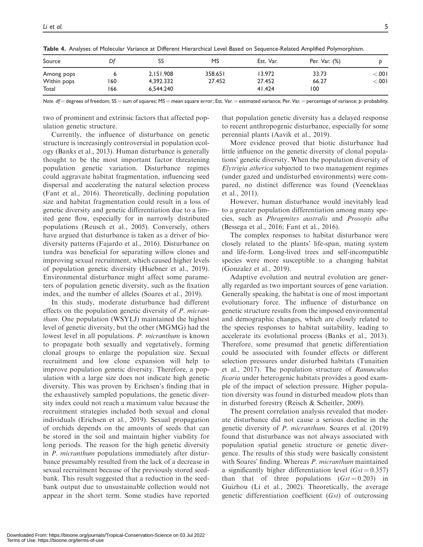| Source                    | Df  | SS                     | MS                | Est. Var.        | Per. Var. (%)  |                   |
|---------------------------|-----|------------------------|-------------------|------------------|----------------|-------------------|
| Among pops<br>Within pops | 160 | 2,151.908<br>4,392.332 | 358.651<br>27.452 | 13.972<br>27.452 | 33.73<br>66.27 | < 0.01<br>< 0.001 |
| Total                     | 166 | 6,544.240              |                   | 41.424           | 100            |                   |

Table 4. Analyses of Molecular Variance at Different Hierarchical Level Based on Sequence-Related Amplified Polymorphism.

Note.  $df =$  degrees of freedom; SS = sum of squares; MS = mean square error; Est. Var. = estimated variance; Per. Var. = percentage of variance; p: probability.

two of prominent and extrinsic factors that affected population genetic structure.

Currently, the influence of disturbance on genetic structure is increasingly controversial in population ecology (Banks et al., 2013). Human disturbance is generally thought to be the most important factor threatening population genetic variation. Disturbance regimes could aggravate habitat fragmentation, influencing seed dispersal and accelerating the natural selection process (Fant et al., 2016). Theoretically, declining population size and habitat fragmentation could result in a loss of genetic diversity and genetic differentiation due to a limited gene flow, especially for in narrowly distributed populations (Reusch et al., 2005). Conversely, others have argued that disturbance is taken as a driver of biodiversity patterns (Fajardo et al., 2016). Disturbance on tundra was beneficial for separating willow clones and improving sexual recruitment, which caused higher levels of population genetic diversity (Huebner et al., 2019). Environmental disturbance might affect some parameters of population genetic diversity, such as the fixation index, and the number of alleles (Soares et al., 2019).

In this study, moderate disturbance had different effects on the population genetic diversity of P. micranthum. One population (WSYLJ) maintained the highest level of genetic diversity, but the other (MGMG) had the lowest level in all populations. P. micranthum is known to propagate both sexually and vegetatively, forming clonal groups to enlarge the population size. Sexual recruitment and low clone expansion will help to improve population genetic diversity. Therefore, a population with a large size does not indicate high genetic diversity. This was proven by Erichsen's finding that in the exhaustively sampled populations, the genetic diversity index could not reach a maximum value because the recruitment strategies included both sexual and clonal individuals (Erichsen et al., 2019). Sexual propagation of orchids depends on the amounts of seeds that can be stored in the soil and maintain higher viability for long periods. The reason for the high genetic diversity in P. micranthum populations immediately after disturbance presumably resulted from the lack of a decrease in sexual recruitment because of the previously stored seedbank. This result suggested that a reduction in the seedbank output due to unsustainable collection would not appear in the short term. Some studies have reported

that population genetic diversity has a delayed response to recent anthropogenic disturbance, especially for some perennial plants (Aavik et al., 2019).

More evidence proved that biotic disturbance had little influence on the genetic diversity of clonal populations' genetic diversity. When the population diversity of Elytrigia atherica subjected to two management regimes (under gazed and undisturbed environments) were compared, no distinct difference was found (Veeneklaas et al., 2011).

However, human disturbance would inevitably lead to a greater population differentiation among many species, such as Phragmites australis and Prosopis alba (Bessega et al., 2016; Fant et al., 2016).

The complex responses to habitat disturbance were closely related to the plants' life-span, mating system and life-form. Long-lived trees and self-incompatible species were more susceptible to a changing habitat (Gonzalez et al., 2019).

Adaptive evolution and neutral evolution are generally regarded as two important sources of gene variation. Generally speaking, the habitat is one of most important evolutionary force. The influence of disturbance on genetic structure results from the imposed environmental and demographic changes, which are closely related to the species responses to habitat suitability, leading to accelerate its evolutional process (Banks et al., 2013). Therefore, some presumed that genetic differentiation could be associated with founder effects or different selection pressures under disturbed habitats (Tunaitien et al., 2017). The population structure of Ranunculus ficaria under heterogenic habitats provides a good example of the impact of selection pressure. Higher population diversity was found in disturbed meadow plots than in disturbed forestry (Reisch & Scheitler, 2009).

The present correlation analysis revealed that moderate disturbance did not cause a serious decline in the genetic diversity of P. micranthum. Soares et al. (2019) found that disturbance was not always associated with population spatial genetic structure or genetic divergence. The results of this study were basically consistent with Soares' finding. Whereas P. micranthum maintained a significantly higher differentiation level  $(G<sub>st</sub> = 0.357)$ than that of three populations  $(Gst = 0.203)$  in Guizhou (Li et al., 2002). Theoretically, the average genetic differentiation coefficient (Gst) of outcrossing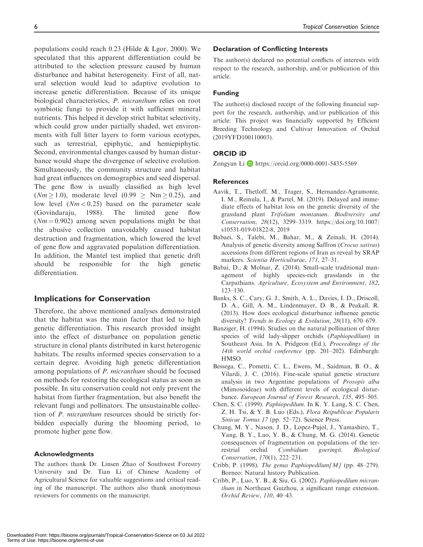populations could reach 0.23 (Hilde & Lgor, 2000). We speculated that this apparent differentiation could be attributed to the selection pressure caused by human disturbance and habitat heterogeneity. First of all, natural selection would lead to adaptive evolution to increase genetic differentiation. Because of its unique biological characteristics, P. micranthum relies on root symbiotic fungi to provide it with sufficient mineral nutrients. This helped it develop strict habitat selectivity, which could grow under partially shaded, wet environments with full litter layers to form various ecotypes, such as terrestrial, epiphytic, and hemiepiphytic. Second, environmental changes caused by human disturbance would shape the divergence of selective evolution. Simultaneously, the community structure and habitat had great influences on demographics and seed dispersal. The gene flow is usually classified as high level  $(Nm \ge 1.0)$ , moderate level  $(0.99 \ge Nm \ge 0.25)$ , and low level  $(Nm < 0.25)$  based on the parameter scale (Govindaraju, 1988). The limited gene flow  $(Nm = 0.902)$  among seven populations might be that the abusive collection unavoidably caused habitat destruction and fragmentation, which lowered the level of gene flow and aggravated population differentiation. In addition, the Mantel test implied that genetic drift should be responsible for the high genetic differentiation.

## Implications for Conservation

Therefore, the above mentioned analyses demonstrated that the habitat was the main factor that led to high genetic differentiation. This research provided insight into the effect of disturbance on population genetic structure in clonal plants distributed in karst heterogenic habitats. The results informed species conservation to a certain degree. Avoiding high genetic differentiation among populations of P. micranthum should be focused on methods for restoring the ecological status as soon as possible. In situ conservation could not only prevent the habitat from further fragmentation, but also benefit the relevant fungi and pollinators. The unsustainable collection of P. micranthum resources should be strictly forbidden especially during the blooming period, to promote higher gene flow.

### Acknowledgments

The authors thank Dr. Linsen Zhao of Southwest Forestry University and Dr. Tian Li of Chinese Academy of Agricultural Science for valuable suggestions and critical reading of the manuscript. The authors also thank anonymous reviewers for comments on the manuscript.

#### Declaration of Conflicting Interests

The author(s) declared no potential conflicts of interests with respect to the research, authorship, and/or publication of this article.

### Funding

The author(s) disclosed receipt of the following financial support for the research, authorship, and/or publication of this article: This project was financially supported by Efficient Breeding Technology and Cultivar Innovation of Orchid (2019YFD100110003).

## ORCID iD

Zongyan Li **D** <https://orcid.org/0000-0001-5435-5569>

### References

- Aavik, T., Thetloff, M., Trager, S., Hernandez-Agramonte, I. M., Reinula, I., & Partel, M. (2019). Delayed and immediate effects of habitat loss on the genetic diversity of the grassland plant Trifolium montanum. Biodiversity and Conservation, 28(12), 3299–3319. [https://doi.org/10.1007/](https://doi.org/10.1007/s10531-019-01822-8, 2019) [s10531-019-01822-8, 2019](https://doi.org/10.1007/s10531-019-01822-8, 2019)
- Babaei, S., Talebi, M., Bahar, M., & Zeinali, H. (2014). Analysis of genetic diversity among Saffron (Crocus sativus) accessions from different regions of Iran as reveal by SRAP markers. Scientia Horticulturae, 171, 27–31.
- Babai, D., & Molnar, Z. (2014). Small-scale traditional management of highly species-rich grasslands in the Carpathians. Agriculture, Ecosystem and Environment, 182, 123–130.
- Banks, S. C., Cary, G. J., Smith, A. L., Davies, I. D., Driscoll, D. A., Gill, A. M., Lindenmayer, D. B., & Peakall, R. (2013). How does ecological disturbance influence genetic diversity? Trends in Ecology & Evolution, 28(11), 670–679.
- Banziger, H. (1994). Studies on the natural pollination of three species of wild lady-slipper orchids (Paphiopedilum) in Southeast Asia. In A. Pridgeon (Ed.), Proceedings of the 14th world orchid conference (pp. 201–202). Edinburgh: HMSO.
- Bessega, C., Pometti, C. L., Ewens, M., Saidman, B. O., & Vilardi, J. C. (2016). Fine-scale spatial genetic structure analysis in two Argentine populations of Prosopis alba (Mimosoideae) with different levels of ecological disturbance. European Journal of Forest Research, 135, 495–505.
- Chen, S. C. (1999). Paphiopedilum. In K. Y. Lang, S. C. Chen, Z. H. Tsi, & Y. B. Luo (Eds.), Flora Reipublicae Popularis Sinicae Tomus 17 (pp. 52–72). Science Press.
- Chung, M. Y., Nason, J. D., Lopez-Pujol, J., Yamashiro, T., Yang, B. Y., Luo, Y. B., & Chung, M. G. (2014). Genetic consequences of fragmentation on populations of the terrestrial orchid Cymbidium goeringii. Biological Conservation, 170(1), 222–231.
- Cribb, P. (1998). The genus Paphiopedilum [M] (pp. 48-279). Borneo: Natural history Publication.
- Cribb, P., Luo, Y. B., & Siu, G. (2002). Paphiopedilum micranthum in Northeast Guizhou, a significant range extension. Orchid Review, 110, 40–43.